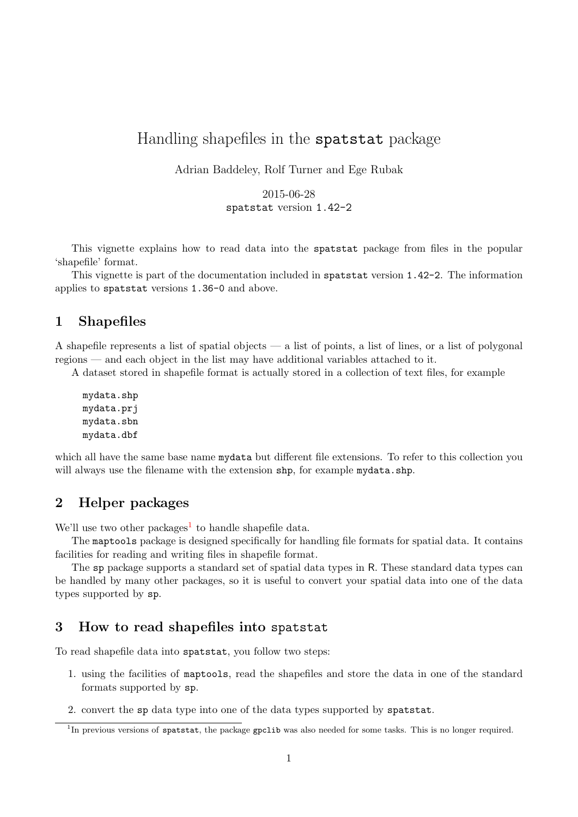# Handling shapefiles in the spatstat package

Adrian Baddeley, Rolf Turner and Ege Rubak

2015-06-28 spatstat version 1.42-2

This vignette explains how to read data into the spatstat package from files in the popular 'shapefile' format.

This vignette is part of the documentation included in spatstat version 1.42-2. The information applies to spatstat versions 1.36-0 and above.

## 1 Shapefiles

A shapefile represents a list of spatial objects — a list of points, a list of lines, or a list of polygonal regions — and each object in the list may have additional variables attached to it.

A dataset stored in shapefile format is actually stored in a collection of text files, for example

mydata.shp mydata.prj mydata.sbn mydata.dbf

which all have the same base name mydata but different file extensions. To refer to this collection you will always use the filename with the extension shp, for example mydata.shp.

## 2 Helper packages

We'll use two other packages<sup>[1](#page-0-0)</sup> to handle shapefile data.

The maptools package is designed specifically for handling file formats for spatial data. It contains facilities for reading and writing files in shapefile format.

The sp package supports a standard set of spatial data types in R. These standard data types can be handled by many other packages, so it is useful to convert your spatial data into one of the data types supported by sp.

## 3 How to read shapefiles into spatstat

To read shapefile data into spatstat, you follow two steps:

- 1. using the facilities of maptools, read the shapefiles and store the data in one of the standard formats supported by sp.
- 2. convert the sp data type into one of the data types supported by spatstat.

<span id="page-0-0"></span><sup>&</sup>lt;sup>1</sup>In previous versions of spatstat, the package gpclib was also needed for some tasks. This is no longer required.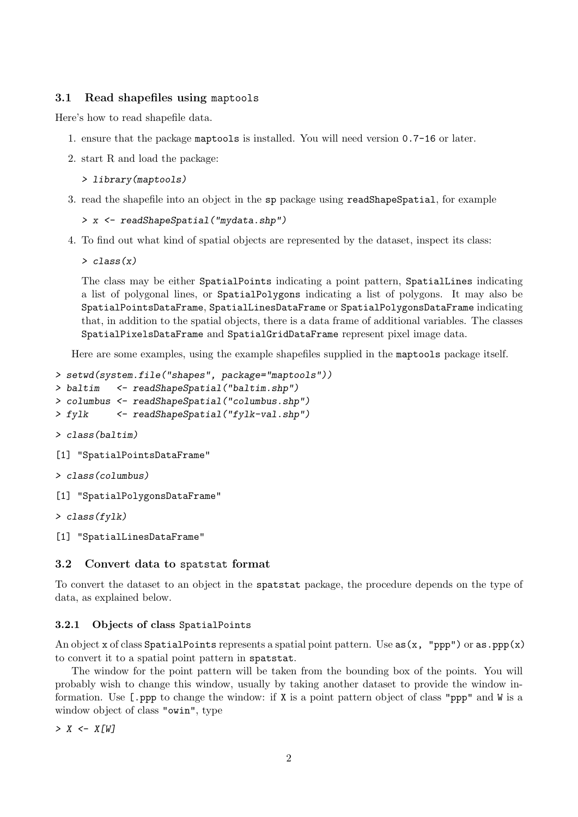## 3.1 Read shapefiles using maptools

Here's how to read shapefile data.

- 1. ensure that the package maptools is installed. You will need version 0.7-16 or later.
- 2. start R and load the package:

```
> library(maptools)
```
3. read the shapefile into an object in the sp package using readShapeSpatial, for example

```
> x <- readShapeSpatial("mydata.shp")
```
4. To find out what kind of spatial objects are represented by the dataset, inspect its class:

```
> class(x)
```
The class may be either SpatialPoints indicating a point pattern, SpatialLines indicating a list of polygonal lines, or SpatialPolygons indicating a list of polygons. It may also be SpatialPointsDataFrame, SpatialLinesDataFrame or SpatialPolygonsDataFrame indicating that, in addition to the spatial objects, there is a data frame of additional variables. The classes SpatialPixelsDataFrame and SpatialGridDataFrame represent pixel image data.

Here are some examples, using the example shapefiles supplied in the maptools package itself.

```
> setwd(system.file("shapes", package="maptools"))
```

```
> baltim <- readShapeSpatial("baltim.shp")
```

```
> columbus <- readShapeSpatial("columbus.shp")
```
- > fylk <- readShapeSpatial("fylk-val.shp")
- > class(baltim)
- [1] "SpatialPointsDataFrame"
- > class(columbus)
- [1] "SpatialPolygonsDataFrame"

```
> class(fylk)
```

```
[1] "SpatialLinesDataFrame"
```
### 3.2 Convert data to spatstat format

To convert the dataset to an object in the spatstat package, the procedure depends on the type of data, as explained below.

## 3.2.1 Objects of class SpatialPoints

An object x of class SpatialPoints represents a spatial point pattern. Use  $as(x, "ppp")$  or  $as.ppp(x)$ to convert it to a spatial point pattern in spatstat.

The window for the point pattern will be taken from the bounding box of the points. You will probably wish to change this window, usually by taking another dataset to provide the window information. Use  $\lceil \text{ppp} \rceil$  to change the window: if X is a point pattern object of class "ppp" and W is a window object of class "owin", type

 $> X < - X[W]$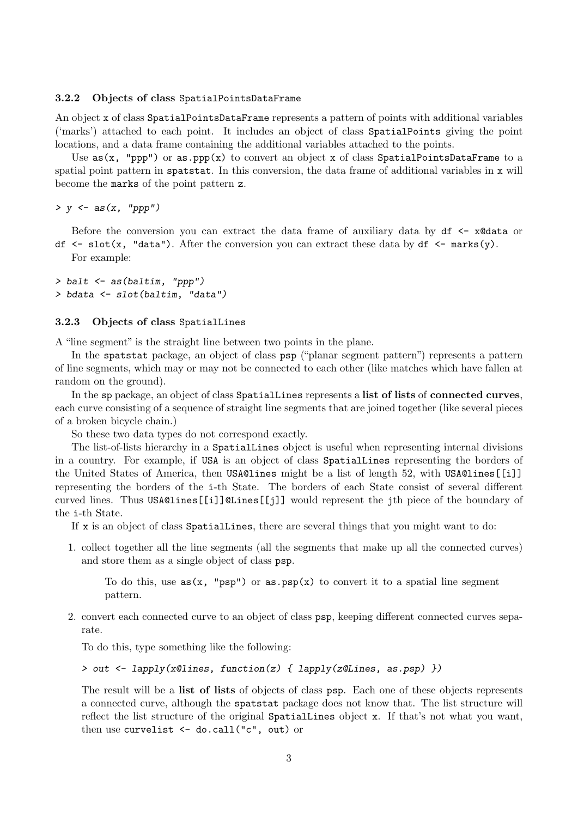#### 3.2.2 Objects of class SpatialPointsDataFrame

An object x of class SpatialPointsDataFrame represents a pattern of points with additional variables ('marks') attached to each point. It includes an object of class SpatialPoints giving the point locations, and a data frame containing the additional variables attached to the points.

Use  $as(x, "ppp")$  or  $as.ppp(x)$  to convert an object x of class SpatialPointsDataFrame to a spatial point pattern in spatstat. In this conversion, the data frame of additional variables in x will become the marks of the point pattern z.

 $> y \leftarrow as(x, "ppp")$ 

Before the conversion you can extract the data frame of auxiliary data by  $df \leq -x\theta$  data or df  $\leq$  slot(x, "data"). After the conversion you can extract these data by df  $\leq$  marks(y). For example:

> balt <- as(baltim, "ppp") > bdata <- slot(baltim, "data")

#### 3.2.3 Objects of class SpatialLines

A "line segment" is the straight line between two points in the plane.

In the spatstat package, an object of class psp ("planar segment pattern") represents a pattern of line segments, which may or may not be connected to each other (like matches which have fallen at random on the ground).

In the sp package, an object of class SpatialLines represents a list of lists of connected curves, each curve consisting of a sequence of straight line segments that are joined together (like several pieces of a broken bicycle chain.)

So these two data types do not correspond exactly.

The list-of-lists hierarchy in a SpatialLines object is useful when representing internal divisions in a country. For example, if USA is an object of class SpatialLines representing the borders of the United States of America, then USA@lines might be a list of length 52, with USA@lines[[i]] representing the borders of the i-th State. The borders of each State consist of several different curved lines. Thus USA@lines[[i]]@Lines[[j]] would represent the jth piece of the boundary of the i-th State.

If x is an object of class SpatialLines, there are several things that you might want to do:

1. collect together all the line segments (all the segments that make up all the connected curves) and store them as a single object of class psp.

To do this, use  $as(x, "psp")$  or  $as.psp(x)$  to convert it to a spatial line segment pattern.

2. convert each connected curve to an object of class psp, keeping different connected curves separate.

To do this, type something like the following:

#### > out <- lapply(x@lines, function(z) { lapply(z@Lines, as.psp) })

The result will be a list of lists of objects of class psp. Each one of these objects represents a connected curve, although the spatstat package does not know that. The list structure will reflect the list structure of the original SpatialLines object x. If that's not what you want, then use curvelist <- do.call("c", out) or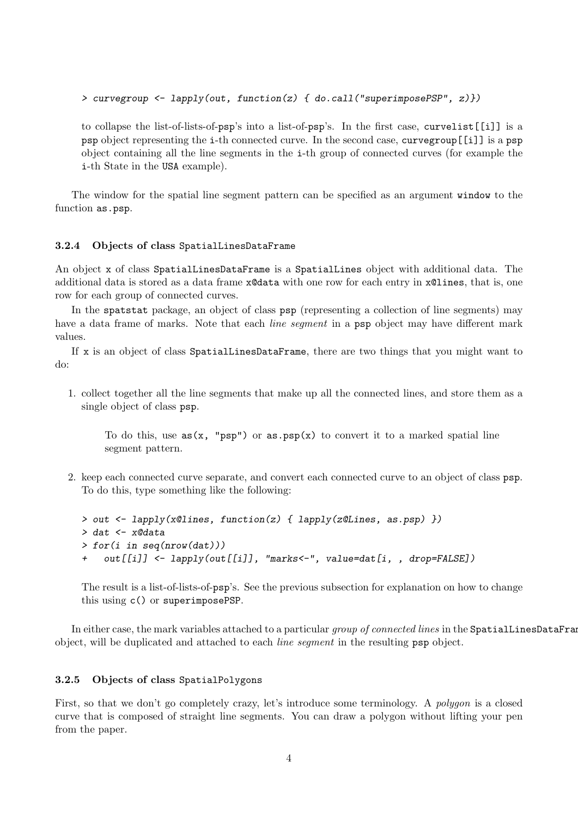> curvegroup <- lapply(out, function(z) { do.call("superimposePSP", z)})

to collapse the list-of-lists-of-psp's into a list-of-psp's. In the first case, curvelist[[i]] is a psp object representing the i-th connected curve. In the second case, curvegroup[[i]] is a psp object containing all the line segments in the i-th group of connected curves (for example the i-th State in the USA example).

The window for the spatial line segment pattern can be specified as an argument window to the function as.psp.

#### 3.2.4 Objects of class SpatialLinesDataFrame

An object x of class SpatialLinesDataFrame is a SpatialLines object with additional data. The additional data is stored as a data frame x@data with one row for each entry in x@lines, that is, one row for each group of connected curves.

In the spatstat package, an object of class psp (representing a collection of line segments) may have a data frame of marks. Note that each *line segment* in a psp object may have different mark values.

If x is an object of class SpatialLinesDataFrame, there are two things that you might want to do:

1. collect together all the line segments that make up all the connected lines, and store them as a single object of class psp.

To do this, use  $as(x, "psp")$  or  $as.psp(x)$  to convert it to a marked spatial line segment pattern.

2. keep each connected curve separate, and convert each connected curve to an object of class psp. To do this, type something like the following:

```
> out <- lapply(x@lines, function(z) { lapply(z@Lines, as.psp) })
> dat <- x@data
> for(i in seq(nrow(dat)))
    out[[i]] \leftarrow \text{laply}(out[[i]], 'marks\leftarrow'', value=dat[i, , drop=FALSE])
```
The result is a list-of-lists-of-psp's. See the previous subsection for explanation on how to change this using c() or superimposePSP.

In either case, the mark variables attached to a particular group of connected lines in the SpatialLinesDataFram object, will be duplicated and attached to each line segment in the resulting psp object.

#### 3.2.5 Objects of class SpatialPolygons

First, so that we don't go completely crazy, let's introduce some terminology. A polygon is a closed curve that is composed of straight line segments. You can draw a polygon without lifting your pen from the paper.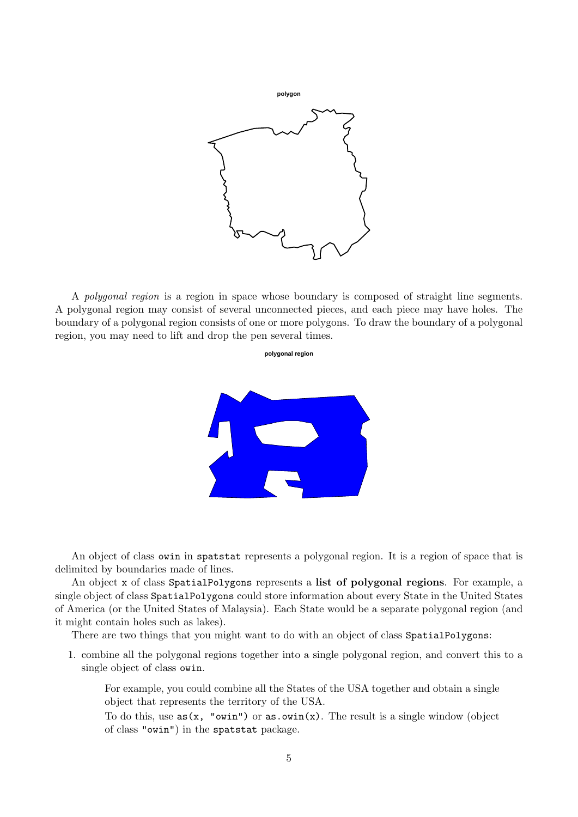

A polygonal region is a region in space whose boundary is composed of straight line segments. A polygonal region may consist of several unconnected pieces, and each piece may have holes. The boundary of a polygonal region consists of one or more polygons. To draw the boundary of a polygonal region, you may need to lift and drop the pen several times.

**polygonal region**



An object of class owin in spatstat represents a polygonal region. It is a region of space that is delimited by boundaries made of lines.

An object x of class SpatialPolygons represents a list of polygonal regions. For example, a single object of class SpatialPolygons could store information about every State in the United States of America (or the United States of Malaysia). Each State would be a separate polygonal region (and it might contain holes such as lakes).

There are two things that you might want to do with an object of class SpatialPolygons:

1. combine all the polygonal regions together into a single polygonal region, and convert this to a single object of class owin.

For example, you could combine all the States of the USA together and obtain a single object that represents the territory of the USA.

To do this, use  $as(x, "own")$  or  $as.own(x)$ . The result is a single window (object of class "owin") in the spatstat package.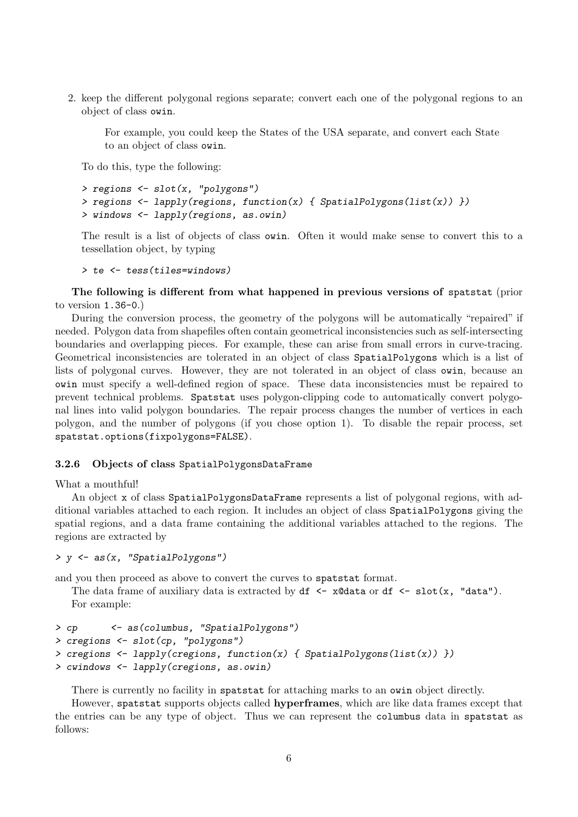2. keep the different polygonal regions separate; convert each one of the polygonal regions to an object of class owin.

For example, you could keep the States of the USA separate, and convert each State to an object of class owin.

To do this, type the following:

```
> regions <- slot(x, "polygons")
> regions <- lapply(regions, function(x) { SpatialPolygons(list(x)) })
> windows <- lapply(regions, as.owin)
```
The result is a list of objects of class owin. Often it would make sense to convert this to a tessellation object, by typing

```
> te <- tess(tiles=windows)
```
The following is different from what happened in previous versions of spatstat (prior to version 1.36-0.)

During the conversion process, the geometry of the polygons will be automatically "repaired" if needed. Polygon data from shapefiles often contain geometrical inconsistencies such as self-intersecting boundaries and overlapping pieces. For example, these can arise from small errors in curve-tracing. Geometrical inconsistencies are tolerated in an object of class SpatialPolygons which is a list of lists of polygonal curves. However, they are not tolerated in an object of class owin, because an owin must specify a well-defined region of space. These data inconsistencies must be repaired to prevent technical problems. Spatstat uses polygon-clipping code to automatically convert polygonal lines into valid polygon boundaries. The repair process changes the number of vertices in each polygon, and the number of polygons (if you chose option 1). To disable the repair process, set spatstat.options(fixpolygons=FALSE).

#### 3.2.6 Objects of class SpatialPolygonsDataFrame

What a mouthful!

An object x of class SpatialPolygonsDataFrame represents a list of polygonal regions, with additional variables attached to each region. It includes an object of class SpatialPolygons giving the spatial regions, and a data frame containing the additional variables attached to the regions. The regions are extracted by

```
> y <- as(x, "SpatialPolygons")
```
and you then proceed as above to convert the curves to spatstat format.

The data frame of auxiliary data is extracted by  $df \leq -x \cdot \text{data}$  or  $df \leq -s \cdot \text{lost}(x, \text{ "data").}$ For example:

```
> cp <- as(columbus, "SpatialPolygons")
> cregions <- slot(cp, "polygons")
> cregions <- lapply(cregions, function(x) { SpatialPolygons(list(x)) })
> cwindows <- lapply(cregions, as.owin)
```
There is currently no facility in spatstat for attaching marks to an owin object directly.

However, spatstat supports objects called hyperframes, which are like data frames except that the entries can be any type of object. Thus we can represent the columbus data in spatstat as follows: